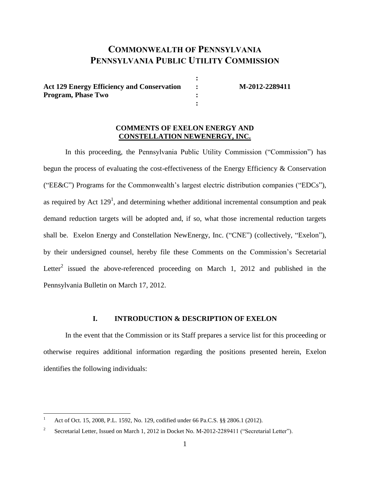# **COMMONWEALTH OF PENNSYLVANIA PENNSYLVANIA PUBLIC UTILITY COMMISSION**

**:**

**:**

**Act 129 Energy Efficiency and Conservation : M-2012-2289411 Program, Phase Two :**

#### **COMMENTS OF EXELON ENERGY AND CONSTELLATION NEWENERGY, INC.**

In this proceeding, the Pennsylvania Public Utility Commission ("Commission") has begun the process of evaluating the cost-effectiveness of the Energy Efficiency & Conservation ("EE&C") Programs for the Commonwealth"s largest electric distribution companies ("EDCs"), as required by Act  $129<sup>1</sup>$ , and determining whether additional incremental consumption and peak demand reduction targets will be adopted and, if so, what those incremental reduction targets shall be. Exelon Energy and Constellation NewEnergy, Inc. ("CNE") (collectively, "Exelon"), by their undersigned counsel, hereby file these Comments on the Commission"s Secretarial Letter<sup>2</sup> issued the above-referenced proceeding on March 1, 2012 and published in the Pennsylvania Bulletin on March 17, 2012.

### **I. INTRODUCTION & DESCRIPTION OF EXELON**

In the event that the Commission or its Staff prepares a service list for this proceeding or otherwise requires additional information regarding the positions presented herein, Exelon identifies the following individuals:

 $\overline{a}$ 

<sup>1</sup> Act of Oct. 15, 2008, P.L. 1592, No. 129, codified under 66 Pa.C.S. §§ 2806.1 (2012).

<sup>2</sup> Secretarial Letter*,* Issued on March 1, 2012 in Docket No. M-2012-2289411 ("Secretarial Letter").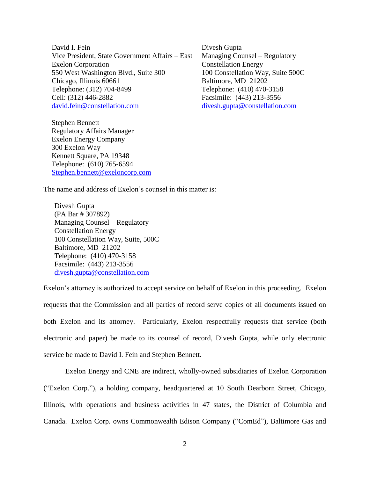David I. Fein Vice President, State Government Affairs – East Exelon Corporation 550 West Washington Blvd., Suite 300 Chicago, Illinois 60661 Telephone: (312) 704-8499 Cell: (312) 446-2882 [david.fein@constellation.com](mailto:david.fein@constellation.com)

Stephen Bennett Regulatory Affairs Manager Exelon Energy Company 300 Exelon Way Kennett Square, PA 19348 Telephone: (610) 765-6594 [Stephen.bennett@exeloncorp.com](mailto:Stephen.bennett@exeloncorp.com)

Divesh Gupta Managing Counsel – Regulatory Constellation Energy 100 Constellation Way, Suite 500C Baltimore, MD 21202 Telephone: (410) 470-3158 Facsimile: (443) 213-3556 [divesh.gupta@constellation.com](mailto:divesh.gupta@constellation.com)

The name and address of Exelon"s counsel in this matter is:

Divesh Gupta (PA Bar # 307892) Managing Counsel – Regulatory Constellation Energy 100 Constellation Way, Suite, 500C Baltimore, MD 21202 Telephone: (410) 470-3158 Facsimile: (443) 213-3556 [divesh.gupta@constellation.com](mailto:divesh.gupta@constellation.com)

Exelon's attorney is authorized to accept service on behalf of Exelon in this proceeding. Exelon requests that the Commission and all parties of record serve copies of all documents issued on both Exelon and its attorney. Particularly, Exelon respectfully requests that service (both electronic and paper) be made to its counsel of record, Divesh Gupta, while only electronic service be made to David I. Fein and Stephen Bennett.

Exelon Energy and CNE are indirect, wholly-owned subsidiaries of Exelon Corporation ("Exelon Corp."), a holding company, headquartered at 10 South Dearborn Street, Chicago, Illinois, with operations and business activities in 47 states, the District of Columbia and Canada. Exelon Corp. owns Commonwealth Edison Company ("ComEd"), Baltimore Gas and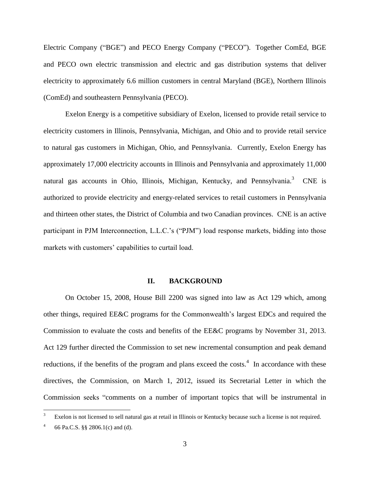Electric Company ("BGE") and PECO Energy Company ("PECO"). Together ComEd, BGE and PECO own electric transmission and electric and gas distribution systems that deliver electricity to approximately 6.6 million customers in central Maryland (BGE), Northern Illinois (ComEd) and southeastern Pennsylvania (PECO).

Exelon Energy is a competitive subsidiary of Exelon, licensed to provide retail service to electricity customers in Illinois, Pennsylvania, Michigan, and Ohio and to provide retail service to natural gas customers in Michigan, Ohio, and Pennsylvania. Currently, Exelon Energy has approximately 17,000 electricity accounts in Illinois and Pennsylvania and approximately 11,000 natural gas accounts in Ohio, Illinois, Michigan, Kentucky, and Pennsylvania.<sup>3</sup> CNE is authorized to provide electricity and energy-related services to retail customers in Pennsylvania and thirteen other states, the District of Columbia and two Canadian provinces. CNE is an active participant in PJM Interconnection, L.L.C."s ("PJM") load response markets, bidding into those markets with customers' capabilities to curtail load.

#### **II. BACKGROUND**

On October 15, 2008, House Bill 2200 was signed into law as Act 129 which, among other things, required EE&C programs for the Commonwealth"s largest EDCs and required the Commission to evaluate the costs and benefits of the EE&C programs by November 31, 2013. Act 129 further directed the Commission to set new incremental consumption and peak demand reductions, if the benefits of the program and plans exceed the costs.<sup>4</sup> In accordance with these directives, the Commission, on March 1, 2012, issued its Secretarial Letter in which the Commission seeks "comments on a number of important topics that will be instrumental in

 $\overline{3}$ Exelon is not licensed to sell natural gas at retail in Illinois or Kentucky because such a license is not required.

<sup>4</sup> 66 Pa.C.S. §§ 2806.1(c) and (d).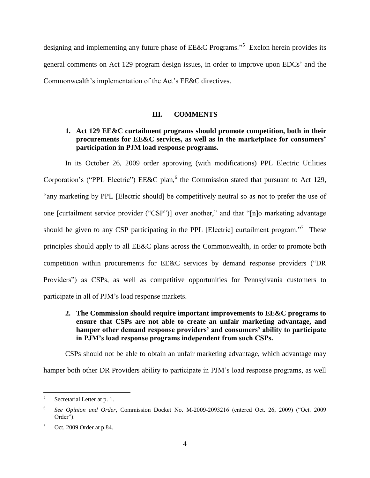designing and implementing any future phase of EE&C Programs."<sup>5</sup> Exelon herein provides its general comments on Act 129 program design issues, in order to improve upon EDCs" and the Commonwealth"s implementation of the Act"s EE&C directives.

### **III. COMMENTS**

# **1. Act 129 EE&C curtailment programs should promote competition, both in their procurements for EE&C services, as well as in the marketplace for consumers' participation in PJM load response programs.**

In its October 26, 2009 order approving (with modifications) PPL Electric Utilities Corporation's ("PPL Electric")  $EExC$  plan, <sup>6</sup> the Commission stated that pursuant to Act 129, "any marketing by PPL [Electric should] be competitively neutral so as not to prefer the use of one [curtailment service provider ("CSP")] over another," and that "[n]o marketing advantage should be given to any CSP participating in the PPL [Electric] curtailment program.<sup>77</sup> These principles should apply to all EE&C plans across the Commonwealth, in order to promote both competition within procurements for EE&C services by demand response providers ("DR Providers") as CSPs, as well as competitive opportunities for Pennsylvania customers to participate in all of PJM"s load response markets.

## **2. The Commission should require important improvements to EE&C programs to ensure that CSPs are not able to create an unfair marketing advantage, and hamper other demand response providers' and consumers' ability to participate in PJM's load response programs independent from such CSPs.**

CSPs should not be able to obtain an unfair marketing advantage, which advantage may hamper both other DR Providers ability to participate in PJM"s load response programs, as well

 5 Secretarial Letter at p. 1.

<sup>6</sup> *See Opinion and Order*, Commission Docket No. M-2009-2093216 (entered Oct. 26, 2009) ("Oct. 2009 Order").

 $7$  Oct. 2009 Order at p.84.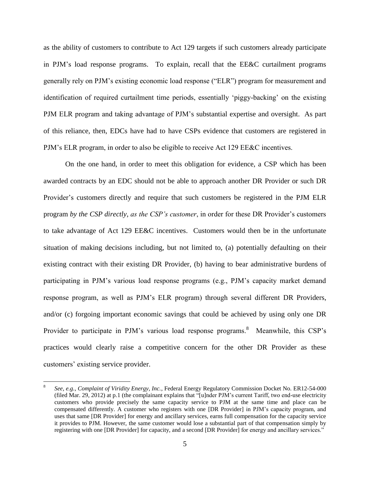as the ability of customers to contribute to Act 129 targets if such customers already participate in PJM"s load response programs. To explain, recall that the EE&C curtailment programs generally rely on PJM"s existing economic load response ("ELR") program for measurement and identification of required curtailment time periods, essentially "piggy-backing" on the existing PJM ELR program and taking advantage of PJM"s substantial expertise and oversight. As part of this reliance, then, EDCs have had to have CSPs evidence that customers are registered in PJM"s ELR program, in order to also be eligible to receive Act 129 EE&C incentives.

On the one hand, in order to meet this obligation for evidence, a CSP which has been awarded contracts by an EDC should not be able to approach another DR Provider or such DR Provider"s customers directly and require that such customers be registered in the PJM ELR program *by the CSP directly, as the CSP's customer*, in order for these DR Provider's customers to take advantage of Act 129 EE&C incentives. Customers would then be in the unfortunate situation of making decisions including, but not limited to, (a) potentially defaulting on their existing contract with their existing DR Provider, (b) having to bear administrative burdens of participating in PJM"s various load response programs (e.g., PJM"s capacity market demand response program, as well as PJM"s ELR program) through several different DR Providers, and/or (c) forgoing important economic savings that could be achieved by using only one DR Provider to participate in PJM's various load response programs.<sup>8</sup> Meanwhile, this CSP's practices would clearly raise a competitive concern for the other DR Provider as these customers" existing service provider.

 $\overline{a}$ 

<sup>8</sup> *See, e.g.*, *Complaint of Viridity Energy, Inc.*, Federal Energy Regulatory Commission Docket No. ER12-54-000 (filed Mar. 29, 2012) at p.1 (the complainant explains that "[u]nder PJM"s current Tariff, two end-use electricity customers who provide precisely the same capacity service to PJM at the same time and place can be compensated differently. A customer who registers with one [DR Provider] in PJM"s capacity program, and uses that same [DR Provider] for energy and ancillary services, earns full compensation for the capacity service it provides to PJM. However, the same customer would lose a substantial part of that compensation simply by registering with one [DR Provider] for capacity, and a second [DR Provider] for energy and ancillary services."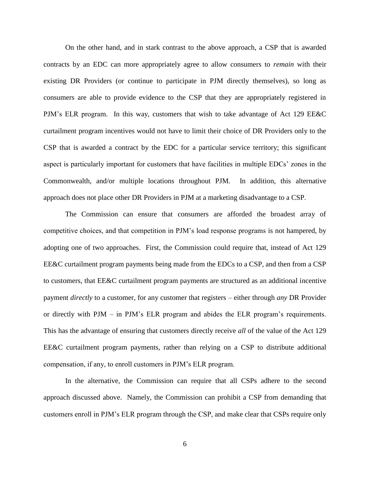On the other hand, and in stark contrast to the above approach, a CSP that is awarded contracts by an EDC can more appropriately agree to allow consumers to *remain* with their existing DR Providers (or continue to participate in PJM directly themselves), so long as consumers are able to provide evidence to the CSP that they are appropriately registered in PJM"s ELR program. In this way, customers that wish to take advantage of Act 129 EE&C curtailment program incentives would not have to limit their choice of DR Providers only to the CSP that is awarded a contract by the EDC for a particular service territory; this significant aspect is particularly important for customers that have facilities in multiple EDCs" zones in the Commonwealth, and/or multiple locations throughout PJM. In addition, this alternative approach does not place other DR Providers in PJM at a marketing disadvantage to a CSP.

The Commission can ensure that consumers are afforded the broadest array of competitive choices, and that competition in PJM"s load response programs is not hampered, by adopting one of two approaches. First, the Commission could require that, instead of Act 129 EE&C curtailment program payments being made from the EDCs to a CSP, and then from a CSP to customers, that EE&C curtailment program payments are structured as an additional incentive payment *directly* to a customer, for any customer that registers – either through *any* DR Provider or directly with PJM – in PJM"s ELR program and abides the ELR program"s requirements. This has the advantage of ensuring that customers directly receive *all* of the value of the Act 129 EE&C curtailment program payments, rather than relying on a CSP to distribute additional compensation, if any, to enroll customers in PJM"s ELR program.

In the alternative, the Commission can require that all CSPs adhere to the second approach discussed above. Namely, the Commission can prohibit a CSP from demanding that customers enroll in PJM"s ELR program through the CSP, and make clear that CSPs require only